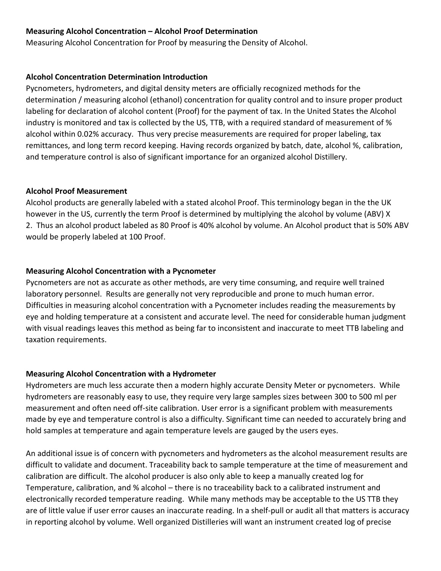#### **Measuring Alcohol Concentration – Alcohol Proof Determination**

Measuring Alcohol Concentration for Proof by measuring the Density of Alcohol.

#### **Alcohol Concentration Determination Introduction**

Pycnometers, hydrometers, and digital density meters are officially recognized methods for the determination / measuring alcohol (ethanol) concentration for quality control and to insure proper product labeling for declaration of alcohol content (Proof) for the payment of tax. In the United States the Alcohol industry is monitored and tax is collected by the US, TTB, with a required standard of measurement of % alcohol within 0.02% accuracy. Thus very precise measurements are required for proper labeling, tax remittances, and long term record keeping. Having records organized by batch, date, alcohol %, calibration, and temperature control is also of significant importance for an organized alcohol Distillery.

#### **Alcohol Proof Measurement**

Alcohol products are generally labeled with a stated alcohol Proof. This terminology began in the the UK however in the US, currently the term Proof is determined by multiplying the alcohol by volume (ABV) X 2. Thus an alcohol product labeled as 80 Proof is 40% alcohol by volume. An Alcohol product that is 50% ABV would be properly labeled at 100 Proof.

# **Measuring Alcohol Concentration with a Pycnometer**

Pycnometers are not as accurate as other methods, are very time consuming, and require well trained laboratory personnel. Results are generally not very reproducible and prone to much human error. Difficulties in measuring alcohol concentration with a Pycnometer includes reading the measurements by eye and holding temperature at a consistent and accurate level. The need for considerable human judgment with visual readings leaves this method as being far to inconsistent and inaccurate to meet TTB labeling and taxation requirements.

# **Measuring Alcohol Concentration with a Hydrometer**

Hydrometers are much less accurate then a modern highly accurate Density Meter or pycnometers. While hydrometers are reasonably easy to use, they require very large samples sizes between 300 to 500 ml per measurement and often need off-site calibration. User error is a significant problem with measurements made by eye and temperature control is also a difficulty. Significant time can needed to accurately bring and hold samples at temperature and again temperature levels are gauged by the users eyes.

An additional issue is of concern with pycnometers and hydrometers as the alcohol measurement results are difficult to validate and document. Traceability back to sample temperature at the time of measurement and calibration are difficult. The alcohol producer is also only able to keep a manually created log for Temperature, calibration, and % alcohol – there is no traceability back to a calibrated instrument and electronically recorded temperature reading. While many methods may be acceptable to the US TTB they are of little value if user error causes an inaccurate reading. In a shelf-pull or audit all that matters is accuracy in reporting alcohol by volume. Well organized Distilleries will want an instrument created log of precise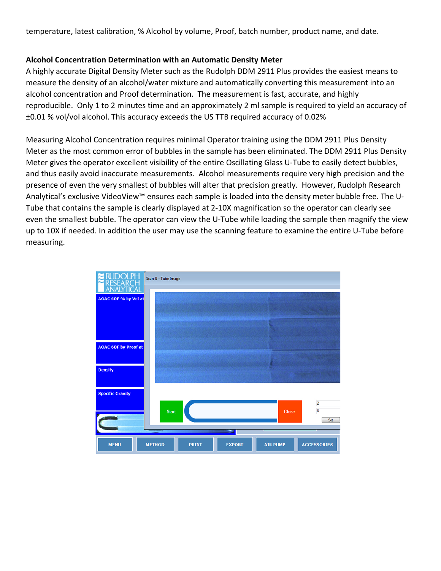temperature, latest calibration, % Alcohol by volume, Proof, batch number, product name, and date.

#### **Alcohol Concentration Determination with an Automatic Density Meter**

A highly accurate Digital Density Meter such as the Rudolph DDM 2911 Plus provides the easiest means to measure the density of an alcohol/water mixture and automatically converting this measurement into an alcohol concentration and Proof determination. The measurement is fast, accurate, and highly reproducible. Only 1 to 2 minutes time and an approximately 2 ml sample is required to yield an accuracy of ±0.01 % vol/vol alcohol. This accuracy exceeds the US TTB required accuracy of 0.02%

Measuring Alcohol Concentration requires minimal Operator training using the DDM 2911 Plus Density Meter as the most common error of bubbles in the sample has been eliminated. The DDM 2911 Plus Density Meter gives the operator excellent visibility of the entire Oscillating Glass U-Tube to easily detect bubbles, and thus easily avoid inaccurate measurements. Alcohol measurements require very high precision and the presence of even the very smallest of bubbles will alter that precision greatly. However, Rudolph Research Analytical's exclusive VideoView™ ensures each sample is loaded into the density meter bubble free. The U-Tube that contains the sample is clearly displayed at 2-10X magnification so the operator can clearly see even the smallest bubble. The operator can view the U-Tube while loading the sample then magnify the view up to 10X if needed. In addition the user may use the scanning feature to examine the entire U-Tube before measuring.

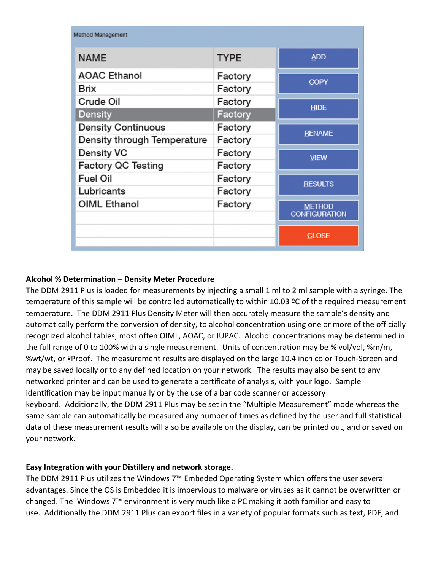| <b>Method Management</b>    |             |                                       |
|-----------------------------|-------------|---------------------------------------|
| <b>NAME</b>                 | <b>TYPE</b> | <b>ADD</b>                            |
| <b>AOAC Ethanol</b>         | Factory     | <b>COPY</b>                           |
| <b>Brix</b>                 | Factory     |                                       |
| Crude Oil                   | Factory     | <b>HIDE</b>                           |
| <b>Density</b>              | Factory     |                                       |
| <b>Density Continuous</b>   | Factory     | <b>RENAME</b>                         |
| Density through Temperature | Factory     |                                       |
| <b>Density VC</b>           | Factory     | <b>VIEW</b>                           |
| <b>Factory QC Testing</b>   | Factory     |                                       |
| <b>Fuel Oil</b>             | Factory     | <b>RESULTS</b>                        |
| Lubricants                  | Factory     |                                       |
| <b>OIML Ethanol</b>         | Factory     | <b>METHOD</b><br><b>CONFIGURATION</b> |
|                             |             | <b>CLOSE</b>                          |

# **Alcohol % Determination – Density Meter Procedure**

The DDM 2911 Plus is loaded for measurements by injecting a small 1 ml to 2 ml sample with a syringe. The temperature of this sample will be controlled automatically to within ±0.03 ºC of the required measurement temperature. The DDM 2911 Plus Density Meter will then accurately measure the sample's density and automatically perform the conversion of density, to alcohol concentration using one or more of the officially recognized alcohol tables; most often OIML, AOAC, or IUPAC. Alcohol concentrations may be determined in the full range of 0 to 100% with a single measurement. Units of concentration may be % vol/vol, %m/m, %wt/wt, or ºProof. The measurement results are displayed on the large 10.4 inch color Touch-Screen and may be saved locally or to any defined location on your network. The results may also be sent to any networked printer and can be used to generate a certificate of analysis, with your logo. Sample identification may be input manually or by the use of a bar code scanner or accessory keyboard. Additionally, the DDM 2911 Plus may be set in the "Multiple Measurement" mode whereas the same sample can automatically be measured any number of times as defined by the user and full statistical data of these measurement results will also be available on the display, can be printed out, and or saved on your network.

# **Easy Integration with your Distillery and network storage.**

The DDM 2911 Plus utilizes the Windows 7™ Embeded Operating System which offers the user several advantages. Since the OS is Embedded it is impervious to malware or viruses as it cannot be overwritten or changed. The Windows 7™ environment is very much like a PC making it both familiar and easy to use. Additionally the DDM 2911 Plus can export files in a variety of popular formats such as text, PDF, and